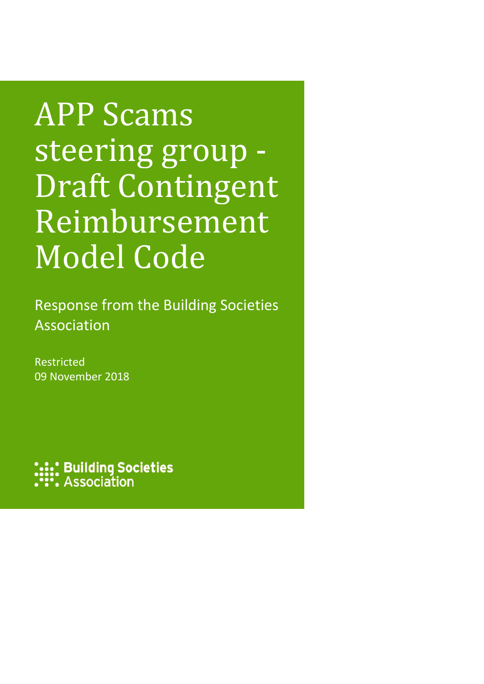# APP Scams steering group - Draft Contingent Reimbursement Model Code

Response from the Building Societies Association

Restricted 09 November 2018

**::: Building Societies:**<br>:: Association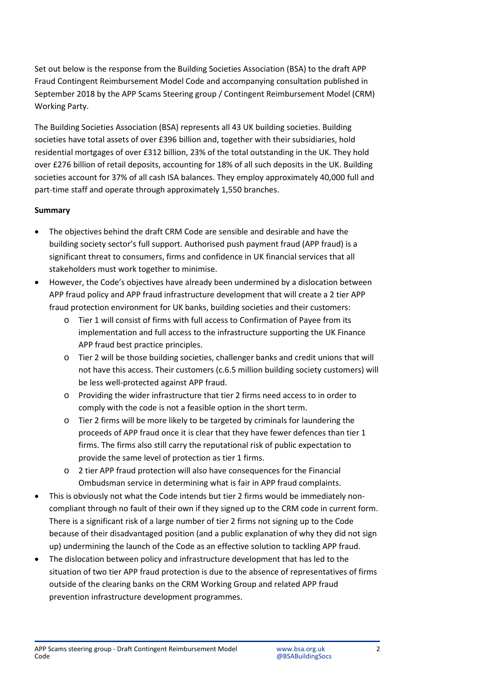Set out below is the response from the Building Societies Association (BSA) to the draft APP Fraud Contingent Reimbursement Model Code and accompanying consultation published in September 2018 by the APP Scams Steering group / Contingent Reimbursement Model (CRM) Working Party.

The Building Societies Association (BSA) represents all 43 UK building societies. Building societies have total assets of over £396 billion and, together with their subsidiaries, hold residential mortgages of over £312 billion, 23% of the total outstanding in the UK. They hold over £276 billion of retail deposits, accounting for 18% of all such deposits in the UK. Building societies account for 37% of all cash ISA balances. They employ approximately 40,000 full and part-time staff and operate through approximately 1,550 branches.

## **Summary**

- The objectives behind the draft CRM Code are sensible and desirable and have the building society sector's full support. Authorised push payment fraud (APP fraud) is a significant threat to consumers, firms and confidence in UK financial services that all stakeholders must work together to minimise.
- However, the Code's objectives have already been undermined by a dislocation between APP fraud policy and APP fraud infrastructure development that will create a 2 tier APP fraud protection environment for UK banks, building societies and their customers:
	- o Tier 1 will consist of firms with full access to Confirmation of Payee from its implementation and full access to the infrastructure supporting the UK Finance APP fraud best practice principles.
	- o Tier 2 will be those building societies, challenger banks and credit unions that will not have this access. Their customers (c.6.5 million building society customers) will be less well-protected against APP fraud.
	- o Providing the wider infrastructure that tier 2 firms need access to in order to comply with the code is not a feasible option in the short term.
	- o Tier 2 firms will be more likely to be targeted by criminals for laundering the proceeds of APP fraud once it is clear that they have fewer defences than tier 1 firms. The firms also still carry the reputational risk of public expectation to provide the same level of protection as tier 1 firms.
	- o 2 tier APP fraud protection will also have consequences for the Financial Ombudsman service in determining what is fair in APP fraud complaints.
- This is obviously not what the Code intends but tier 2 firms would be immediately noncompliant through no fault of their own if they signed up to the CRM code in current form. There is a significant risk of a large number of tier 2 firms not signing up to the Code because of their disadvantaged position (and a public explanation of why they did not sign up) undermining the launch of the Code as an effective solution to tackling APP fraud.
- The dislocation between policy and infrastructure development that has led to the situation of two tier APP fraud protection is due to the absence of representatives of firms outside of the clearing banks on the CRM Working Group and related APP fraud prevention infrastructure development programmes.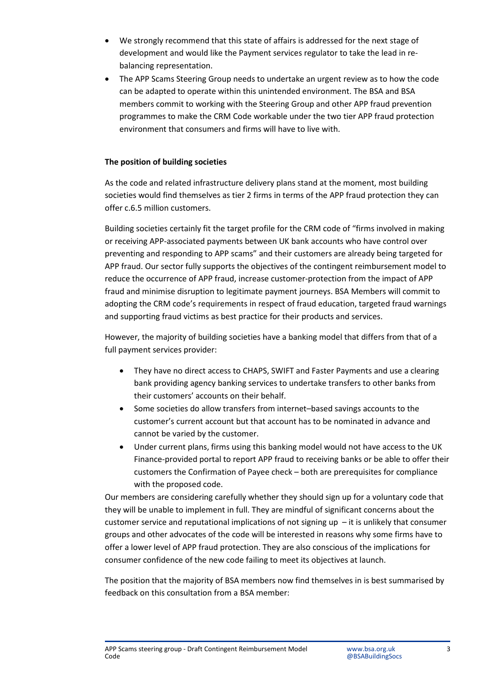- We strongly recommend that this state of affairs is addressed for the next stage of development and would like the Payment services regulator to take the lead in rebalancing representation.
- The APP Scams Steering Group needs to undertake an urgent review as to how the code can be adapted to operate within this unintended environment. The BSA and BSA members commit to working with the Steering Group and other APP fraud prevention programmes to make the CRM Code workable under the two tier APP fraud protection environment that consumers and firms will have to live with.

#### **The position of building societies**

As the code and related infrastructure delivery plans stand at the moment, most building societies would find themselves as tier 2 firms in terms of the APP fraud protection they can offer c.6.5 million customers.

Building societies certainly fit the target profile for the CRM code of "firms involved in making or receiving APP-associated payments between UK bank accounts who have control over preventing and responding to APP scams" and their customers are already being targeted for APP fraud. Our sector fully supports the objectives of the contingent reimbursement model to reduce the occurrence of APP fraud, increase customer-protection from the impact of APP fraud and minimise disruption to legitimate payment journeys. BSA Members will commit to adopting the CRM code's requirements in respect of fraud education, targeted fraud warnings and supporting fraud victims as best practice for their products and services.

However, the majority of building societies have a banking model that differs from that of a full payment services provider:

- They have no direct access to CHAPS, SWIFT and Faster Payments and use a clearing bank providing agency banking services to undertake transfers to other banks from their customers' accounts on their behalf.
- Some societies do allow transfers from internet–based savings accounts to the customer's current account but that account has to be nominated in advance and cannot be varied by the customer.
- Under current plans, firms using this banking model would not have access to the UK Finance-provided portal to report APP fraud to receiving banks or be able to offer their customers the Confirmation of Payee check – both are prerequisites for compliance with the proposed code.

Our members are considering carefully whether they should sign up for a voluntary code that they will be unable to implement in full. They are mindful of significant concerns about the customer service and reputational implications of not signing up  $-$  it is unlikely that consumer groups and other advocates of the code will be interested in reasons why some firms have to offer a lower level of APP fraud protection. They are also conscious of the implications for consumer confidence of the new code failing to meet its objectives at launch.

The position that the majority of BSA members now find themselves in is best summarised by feedback on this consultation from a BSA member: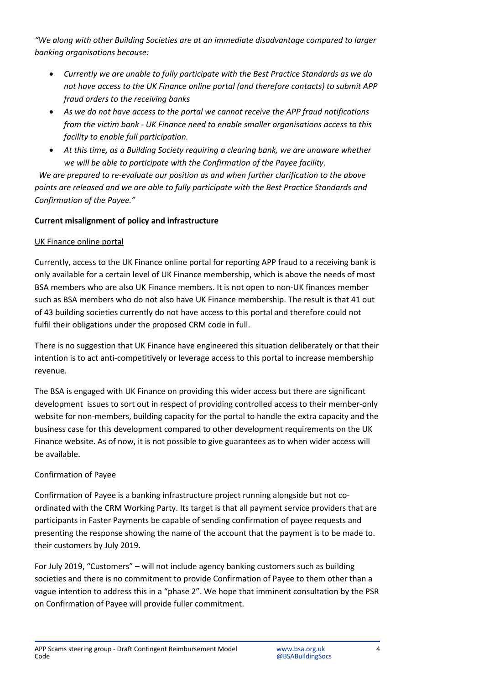*"We along with other Building Societies are at an immediate disadvantage compared to larger banking organisations because:*

- *Currently we are unable to fully participate with the Best Practice Standards as we do not have access to the UK Finance online portal (and therefore contacts) to submit APP fraud orders to the receiving banks*
- *As we do not have access to the portal we cannot receive the APP fraud notifications from the victim bank - UK Finance need to enable smaller organisations access to this facility to enable full participation.*
- *At this time, as a Building Society requiring a clearing bank, we are unaware whether we will be able to participate with the Confirmation of the Payee facility.*

*We are prepared to re-evaluate our position as and when further clarification to the above points are released and we are able to fully participate with the Best Practice Standards and Confirmation of the Payee."*

## **Current misalignment of policy and infrastructure**

## UK Finance online portal

Currently, access to the UK Finance online portal for reporting APP fraud to a receiving bank is only available for a certain level of UK Finance membership, which is above the needs of most BSA members who are also UK Finance members. It is not open to non-UK finances member such as BSA members who do not also have UK Finance membership. The result is that 41 out of 43 building societies currently do not have access to this portal and therefore could not fulfil their obligations under the proposed CRM code in full.

There is no suggestion that UK Finance have engineered this situation deliberately or that their intention is to act anti-competitively or leverage access to this portal to increase membership revenue.

The BSA is engaged with UK Finance on providing this wider access but there are significant development issues to sort out in respect of providing controlled access to their member-only website for non-members, building capacity for the portal to handle the extra capacity and the business case for this development compared to other development requirements on the UK Finance website. As of now, it is not possible to give guarantees as to when wider access will be available.

## Confirmation of Payee

Confirmation of Payee is a banking infrastructure project running alongside but not coordinated with the CRM Working Party. Its target is that all payment service providers that are participants in Faster Payments be capable of sending confirmation of payee requests and presenting the response showing the name of the account that the payment is to be made to. their customers by July 2019.

For July 2019, "Customers" – will not include agency banking customers such as building societies and there is no commitment to provide Confirmation of Payee to them other than a vague intention to address this in a "phase 2". We hope that imminent consultation by the PSR on Confirmation of Payee will provide fuller commitment.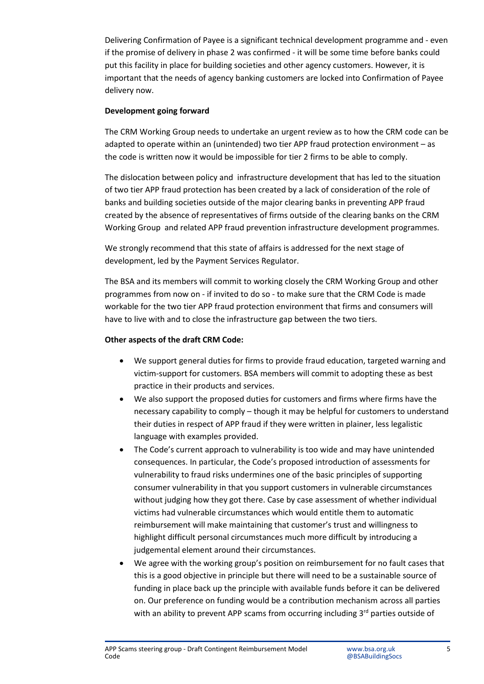Delivering Confirmation of Payee is a significant technical development programme and - even if the promise of delivery in phase 2 was confirmed - it will be some time before banks could put this facility in place for building societies and other agency customers. However, it is important that the needs of agency banking customers are locked into Confirmation of Payee delivery now.

#### **Development going forward**

The CRM Working Group needs to undertake an urgent review as to how the CRM code can be adapted to operate within an (unintended) two tier APP fraud protection environment – as the code is written now it would be impossible for tier 2 firms to be able to comply.

The dislocation between policy and infrastructure development that has led to the situation of two tier APP fraud protection has been created by a lack of consideration of the role of banks and building societies outside of the major clearing banks in preventing APP fraud created by the absence of representatives of firms outside of the clearing banks on the CRM Working Group and related APP fraud prevention infrastructure development programmes.

We strongly recommend that this state of affairs is addressed for the next stage of development, led by the Payment Services Regulator.

The BSA and its members will commit to working closely the CRM Working Group and other programmes from now on - if invited to do so - to make sure that the CRM Code is made workable for the two tier APP fraud protection environment that firms and consumers will have to live with and to close the infrastructure gap between the two tiers.

#### **Other aspects of the draft CRM Code:**

- We support general duties for firms to provide fraud education, targeted warning and victim-support for customers. BSA members will commit to adopting these as best practice in their products and services.
- We also support the proposed duties for customers and firms where firms have the necessary capability to comply – though it may be helpful for customers to understand their duties in respect of APP fraud if they were written in plainer, less legalistic language with examples provided.
- The Code's current approach to vulnerability is too wide and may have unintended consequences. In particular, the Code's proposed introduction of assessments for vulnerability to fraud risks undermines one of the basic principles of supporting consumer vulnerability in that you support customers in vulnerable circumstances without judging how they got there. Case by case assessment of whether individual victims had vulnerable circumstances which would entitle them to automatic reimbursement will make maintaining that customer's trust and willingness to highlight difficult personal circumstances much more difficult by introducing a judgemental element around their circumstances.
- We agree with the working group's position on reimbursement for no fault cases that this is a good objective in principle but there will need to be a sustainable source of funding in place back up the principle with available funds before it can be delivered on. Our preference on funding would be a contribution mechanism across all parties with an ability to prevent APP scams from occurring including  $3<sup>rd</sup>$  parties outside of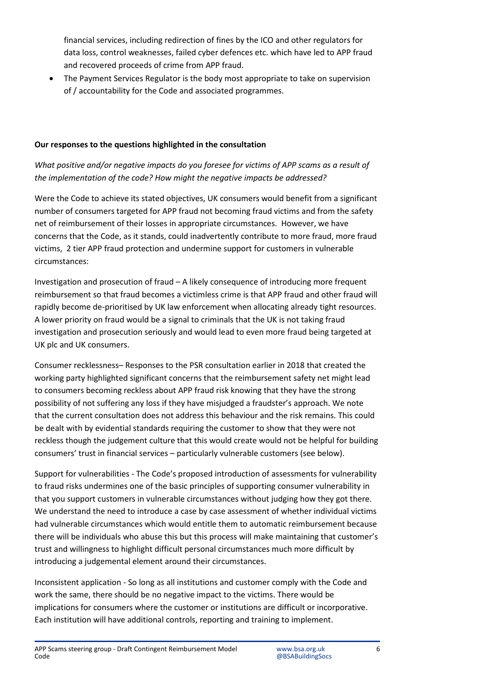financial services, including redirection of fines by the ICO and other regulators for data loss, control weaknesses, failed cyber defences etc. which have led to APP fraud and recovered proceeds of crime from APP fraud.

• The Payment Services Regulator is the body most appropriate to take on supervision of / accountability for the Code and associated programmes.

#### **Our responses to the questions highlighted in the consultation**

# *What positive and/or negative impacts do you foresee for victims of APP scams as a result of the implementation of the code? How might the negative impacts be addressed?*

Were the Code to achieve its stated objectives, UK consumers would benefit from a significant number of consumers targeted for APP fraud not becoming fraud victims and from the safety net of reimbursement of their losses in appropriate circumstances. However, we have concerns that the Code, as it stands, could inadvertently contribute to more fraud, more fraud victims, 2 tier APP fraud protection and undermine support for customers in vulnerable circumstances:

Investigation and prosecution of fraud – A likely consequence of introducing more frequent reimbursement so that fraud becomes a victimless crime is that APP fraud and other fraud will rapidly become de-prioritised by UK law enforcement when allocating already tight resources. A lower priority on fraud would be a signal to criminals that the UK is not taking fraud investigation and prosecution seriously and would lead to even more fraud being targeted at UK plc and UK consumers.

Consumer recklessness– Responses to the PSR consultation earlier in 2018 that created the working party highlighted significant concerns that the reimbursement safety net might lead to consumers becoming reckless about APP fraud risk knowing that they have the strong possibility of not suffering any loss if they have misjudged a fraudster's approach. We note that the current consultation does not address this behaviour and the risk remains. This could be dealt with by evidential standards requiring the customer to show that they were not reckless though the judgement culture that this would create would not be helpful for building consumers' trust in financial services – particularly vulnerable customers (see below).

Support for vulnerabilities - The Code's proposed introduction of assessments for vulnerability to fraud risks undermines one of the basic principles of supporting consumer vulnerability in that you support customers in vulnerable circumstances without judging how they got there. We understand the need to introduce a case by case assessment of whether individual victims had vulnerable circumstances which would entitle them to automatic reimbursement because there will be individuals who abuse this but this process will make maintaining that customer's trust and willingness to highlight difficult personal circumstances much more difficult by introducing a judgemental element around their circumstances.

Inconsistent application - So long as all institutions and customer comply with the Code and work the same, there should be no negative impact to the victims. There would be implications for consumers where the customer or institutions are difficult or incorporative. Each institution will have additional controls, reporting and training to implement.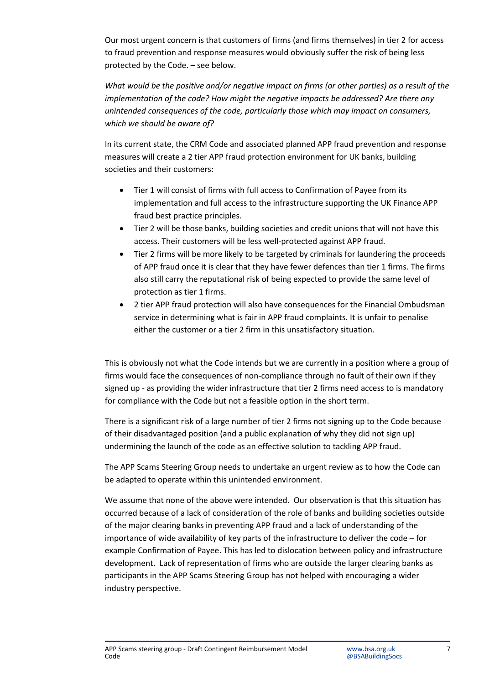Our most urgent concern is that customers of firms (and firms themselves) in tier 2 for access to fraud prevention and response measures would obviously suffer the risk of being less protected by the Code. – see below.

*What would be the positive and/or negative impact on firms (or other parties) as a result of the implementation of the code? How might the negative impacts be addressed? Are there any unintended consequences of the code, particularly those which may impact on consumers, which we should be aware of?*

In its current state, the CRM Code and associated planned APP fraud prevention and response measures will create a 2 tier APP fraud protection environment for UK banks, building societies and their customers:

- Tier 1 will consist of firms with full access to Confirmation of Payee from its implementation and full access to the infrastructure supporting the UK Finance APP fraud best practice principles.
- Tier 2 will be those banks, building societies and credit unions that will not have this access. Their customers will be less well-protected against APP fraud.
- Tier 2 firms will be more likely to be targeted by criminals for laundering the proceeds of APP fraud once it is clear that they have fewer defences than tier 1 firms. The firms also still carry the reputational risk of being expected to provide the same level of protection as tier 1 firms.
- 2 tier APP fraud protection will also have consequences for the Financial Ombudsman service in determining what is fair in APP fraud complaints. It is unfair to penalise either the customer or a tier 2 firm in this unsatisfactory situation.

This is obviously not what the Code intends but we are currently in a position where a group of firms would face the consequences of non-compliance through no fault of their own if they signed up - as providing the wider infrastructure that tier 2 firms need access to is mandatory for compliance with the Code but not a feasible option in the short term.

There is a significant risk of a large number of tier 2 firms not signing up to the Code because of their disadvantaged position (and a public explanation of why they did not sign up) undermining the launch of the code as an effective solution to tackling APP fraud.

The APP Scams Steering Group needs to undertake an urgent review as to how the Code can be adapted to operate within this unintended environment.

We assume that none of the above were intended. Our observation is that this situation has occurred because of a lack of consideration of the role of banks and building societies outside of the major clearing banks in preventing APP fraud and a lack of understanding of the importance of wide availability of key parts of the infrastructure to deliver the code – for example Confirmation of Payee. This has led to dislocation between policy and infrastructure development. Lack of representation of firms who are outside the larger clearing banks as participants in the APP Scams Steering Group has not helped with encouraging a wider industry perspective.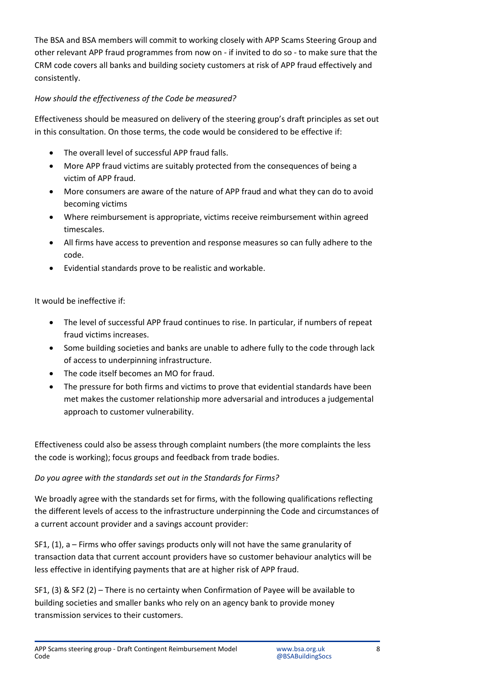The BSA and BSA members will commit to working closely with APP Scams Steering Group and other relevant APP fraud programmes from now on - if invited to do so - to make sure that the CRM code covers all banks and building society customers at risk of APP fraud effectively and consistently.

## *How should the effectiveness of the Code be measured?*

Effectiveness should be measured on delivery of the steering group's draft principles as set out in this consultation. On those terms, the code would be considered to be effective if:

- The overall level of successful APP fraud falls.
- More APP fraud victims are suitably protected from the consequences of being a victim of APP fraud.
- More consumers are aware of the nature of APP fraud and what they can do to avoid becoming victims
- Where reimbursement is appropriate, victims receive reimbursement within agreed timescales.
- All firms have access to prevention and response measures so can fully adhere to the code.
- Evidential standards prove to be realistic and workable.

It would be ineffective if:

- The level of successful APP fraud continues to rise. In particular, if numbers of repeat fraud victims increases.
- Some building societies and banks are unable to adhere fully to the code through lack of access to underpinning infrastructure.
- The code itself becomes an MO for fraud.
- The pressure for both firms and victims to prove that evidential standards have been met makes the customer relationship more adversarial and introduces a judgemental approach to customer vulnerability.

Effectiveness could also be assess through complaint numbers (the more complaints the less the code is working); focus groups and feedback from trade bodies.

## *Do you agree with the standards set out in the Standards for Firms?*

We broadly agree with the standards set for firms, with the following qualifications reflecting the different levels of access to the infrastructure underpinning the Code and circumstances of a current account provider and a savings account provider:

SF1, (1), a – Firms who offer savings products only will not have the same granularity of transaction data that current account providers have so customer behaviour analytics will be less effective in identifying payments that are at higher risk of APP fraud.

SF1, (3) & SF2 (2) – There is no certainty when Confirmation of Payee will be available to building societies and smaller banks who rely on an agency bank to provide money transmission services to their customers.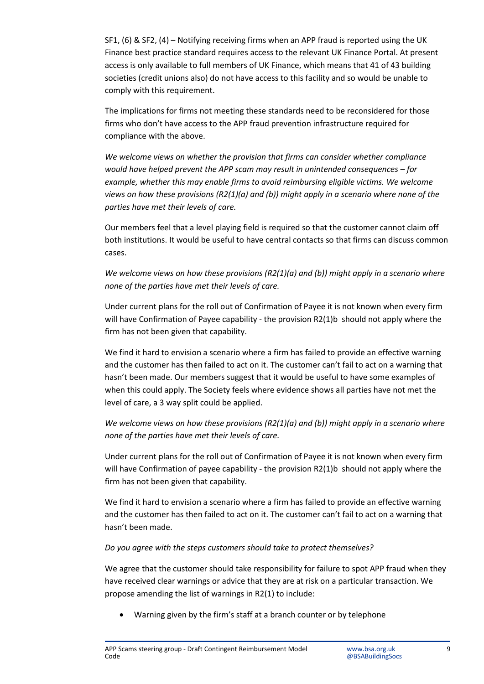SF1, (6) & SF2, (4) – Notifying receiving firms when an APP fraud is reported using the UK Finance best practice standard requires access to the relevant UK Finance Portal. At present access is only available to full members of UK Finance, which means that 41 of 43 building societies (credit unions also) do not have access to this facility and so would be unable to comply with this requirement.

The implications for firms not meeting these standards need to be reconsidered for those firms who don't have access to the APP fraud prevention infrastructure required for compliance with the above.

*We welcome views on whether the provision that firms can consider whether compliance would have helped prevent the APP scam may result in unintended consequences – for example, whether this may enable firms to avoid reimbursing eligible victims. We welcome views on how these provisions (R2(1)(a) and (b)) might apply in a scenario where none of the parties have met their levels of care.*

Our members feel that a level playing field is required so that the customer cannot claim off both institutions. It would be useful to have central contacts so that firms can discuss common cases.

*We welcome views on how these provisions (R2(1)(a) and (b)) might apply in a scenario where none of the parties have met their levels of care.*

Under current plans for the roll out of Confirmation of Payee it is not known when every firm will have Confirmation of Payee capability - the provision R2(1)b should not apply where the firm has not been given that capability.

We find it hard to envision a scenario where a firm has failed to provide an effective warning and the customer has then failed to act on it. The customer can't fail to act on a warning that hasn't been made. Our members suggest that it would be useful to have some examples of when this could apply. The Society feels where evidence shows all parties have not met the level of care, a 3 way split could be applied.

*We welcome views on how these provisions (R2(1)(a) and (b)) might apply in a scenario where none of the parties have met their levels of care.*

Under current plans for the roll out of Confirmation of Payee it is not known when every firm will have Confirmation of payee capability - the provision R2(1)b should not apply where the firm has not been given that capability.

We find it hard to envision a scenario where a firm has failed to provide an effective warning and the customer has then failed to act on it. The customer can't fail to act on a warning that hasn't been made.

*Do you agree with the steps customers should take to protect themselves?*

We agree that the customer should take responsibility for failure to spot APP fraud when they have received clear warnings or advice that they are at risk on a particular transaction. We propose amending the list of warnings in R2(1) to include:

• Warning given by the firm's staff at a branch counter or by telephone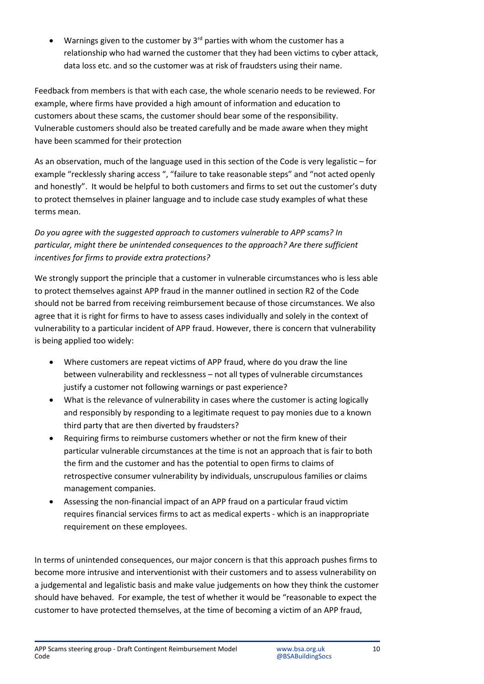Warnings given to the customer by  $3<sup>rd</sup>$  parties with whom the customer has a relationship who had warned the customer that they had been victims to cyber attack, data loss etc. and so the customer was at risk of fraudsters using their name.

Feedback from members is that with each case, the whole scenario needs to be reviewed. For example, where firms have provided a high amount of information and education to customers about these scams, the customer should bear some of the responsibility. Vulnerable customers should also be treated carefully and be made aware when they might have been scammed for their protection

As an observation, much of the language used in this section of the Code is very legalistic – for example "recklessly sharing access ", "failure to take reasonable steps" and "not acted openly and honestly". It would be helpful to both customers and firms to set out the customer's duty to protect themselves in plainer language and to include case study examples of what these terms mean.

# *Do you agree with the suggested approach to customers vulnerable to APP scams? In particular, might there be unintended consequences to the approach? Are there sufficient incentives for firms to provide extra protections?*

We strongly support the principle that a customer in vulnerable circumstances who is less able to protect themselves against APP fraud in the manner outlined in section R2 of the Code should not be barred from receiving reimbursement because of those circumstances. We also agree that it is right for firms to have to assess cases individually and solely in the context of vulnerability to a particular incident of APP fraud. However, there is concern that vulnerability is being applied too widely:

- Where customers are repeat victims of APP fraud, where do you draw the line between vulnerability and recklessness – not all types of vulnerable circumstances justify a customer not following warnings or past experience?
- What is the relevance of vulnerability in cases where the customer is acting logically and responsibly by responding to a legitimate request to pay monies due to a known third party that are then diverted by fraudsters?
- Requiring firms to reimburse customers whether or not the firm knew of their particular vulnerable circumstances at the time is not an approach that is fair to both the firm and the customer and has the potential to open firms to claims of retrospective consumer vulnerability by individuals, unscrupulous families or claims management companies.
- Assessing the non-financial impact of an APP fraud on a particular fraud victim requires financial services firms to act as medical experts - which is an inappropriate requirement on these employees.

In terms of unintended consequences, our major concern is that this approach pushes firms to become more intrusive and interventionist with their customers and to assess vulnerability on a judgemental and legalistic basis and make value judgements on how they think the customer should have behaved. For example, the test of whether it would be "reasonable to expect the customer to have protected themselves, at the time of becoming a victim of an APP fraud,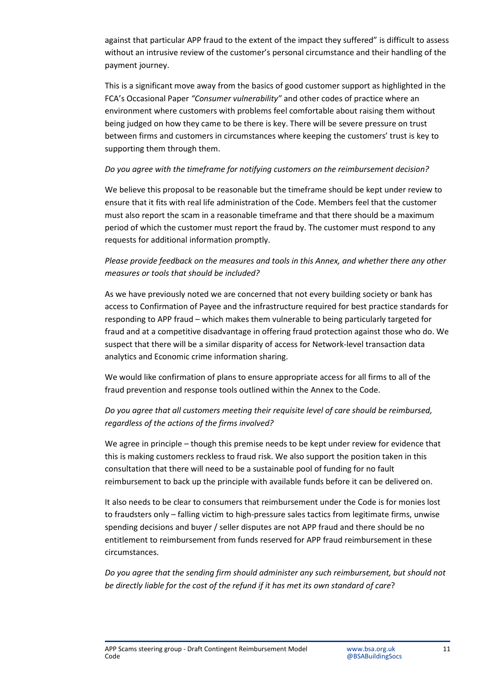against that particular APP fraud to the extent of the impact they suffered" is difficult to assess without an intrusive review of the customer's personal circumstance and their handling of the payment journey.

This is a significant move away from the basics of good customer support as highlighted in the FCA's Occasional Paper *"Consumer vulnerability"* and other codes of practice where an environment where customers with problems feel comfortable about raising them without being judged on how they came to be there is key. There will be severe pressure on trust between firms and customers in circumstances where keeping the customers' trust is key to supporting them through them.

#### *Do you agree with the timeframe for notifying customers on the reimbursement decision?*

We believe this proposal to be reasonable but the timeframe should be kept under review to ensure that it fits with real life administration of the Code. Members feel that the customer must also report the scam in a reasonable timeframe and that there should be a maximum period of which the customer must report the fraud by. The customer must respond to any requests for additional information promptly.

## *Please provide feedback on the measures and tools in this Annex, and whether there any other measures or tools that should be included?*

As we have previously noted we are concerned that not every building society or bank has access to Confirmation of Payee and the infrastructure required for best practice standards for responding to APP fraud – which makes them vulnerable to being particularly targeted for fraud and at a competitive disadvantage in offering fraud protection against those who do. We suspect that there will be a similar disparity of access for Network-level transaction data analytics and Economic crime information sharing.

We would like confirmation of plans to ensure appropriate access for all firms to all of the fraud prevention and response tools outlined within the Annex to the Code.

# *Do you agree that all customers meeting their requisite level of care should be reimbursed, regardless of the actions of the firms involved?*

We agree in principle – though this premise needs to be kept under review for evidence that this is making customers reckless to fraud risk. We also support the position taken in this consultation that there will need to be a sustainable pool of funding for no fault reimbursement to back up the principle with available funds before it can be delivered on.

It also needs to be clear to consumers that reimbursement under the Code is for monies lost to fraudsters only – falling victim to high-pressure sales tactics from legitimate firms, unwise spending decisions and buyer / seller disputes are not APP fraud and there should be no entitlement to reimbursement from funds reserved for APP fraud reimbursement in these circumstances.

*Do you agree that the sending firm should administer any such reimbursement, but should not be directly liable for the cost of the refund if it has met its own standard of care*?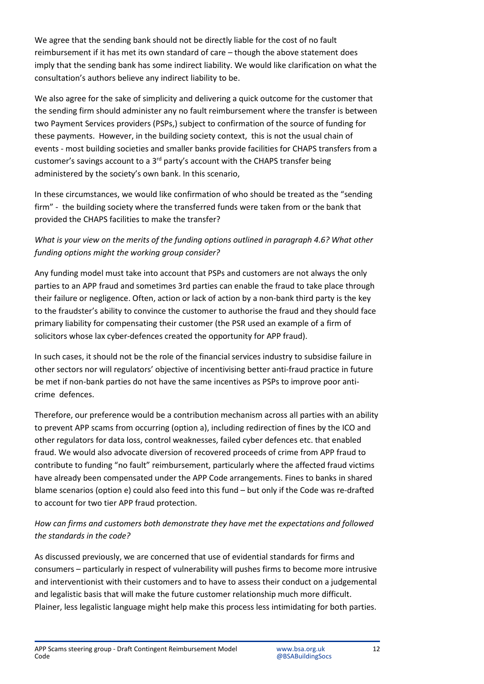We agree that the sending bank should not be directly liable for the cost of no fault reimbursement if it has met its own standard of care – though the above statement does imply that the sending bank has some indirect liability. We would like clarification on what the consultation's authors believe any indirect liability to be.

We also agree for the sake of simplicity and delivering a quick outcome for the customer that the sending firm should administer any no fault reimbursement where the transfer is between two Payment Services providers (PSPs,) subject to confirmation of the source of funding for these payments. However, in the building society context, this is not the usual chain of events - most building societies and smaller banks provide facilities for CHAPS transfers from a customer's savings account to a 3rd party's account with the CHAPS transfer being administered by the society's own bank. In this scenario,

In these circumstances, we would like confirmation of who should be treated as the "sending firm" - the building society where the transferred funds were taken from or the bank that provided the CHAPS facilities to make the transfer?

# *What is your view on the merits of the funding options outlined in paragraph 4.6? What other funding options might the working group consider?*

Any funding model must take into account that PSPs and customers are not always the only parties to an APP fraud and sometimes 3rd parties can enable the fraud to take place through their failure or negligence. Often, action or lack of action by a non-bank third party is the key to the fraudster's ability to convince the customer to authorise the fraud and they should face primary liability for compensating their customer (the PSR used an example of a firm of solicitors whose lax cyber-defences created the opportunity for APP fraud).

In such cases, it should not be the role of the financial services industry to subsidise failure in other sectors nor will regulators' objective of incentivising better anti-fraud practice in future be met if non-bank parties do not have the same incentives as PSPs to improve poor anticrime defences.

Therefore, our preference would be a contribution mechanism across all parties with an ability to prevent APP scams from occurring (option a), including redirection of fines by the ICO and other regulators for data loss, control weaknesses, failed cyber defences etc. that enabled fraud. We would also advocate diversion of recovered proceeds of crime from APP fraud to contribute to funding "no fault" reimbursement, particularly where the affected fraud victims have already been compensated under the APP Code arrangements. Fines to banks in shared blame scenarios (option e) could also feed into this fund – but only if the Code was re-drafted to account for two tier APP fraud protection.

# *How can firms and customers both demonstrate they have met the expectations and followed the standards in the code?*

As discussed previously, we are concerned that use of evidential standards for firms and consumers – particularly in respect of vulnerability will pushes firms to become more intrusive and interventionist with their customers and to have to assess their conduct on a judgemental and legalistic basis that will make the future customer relationship much more difficult. Plainer, less legalistic language might help make this process less intimidating for both parties.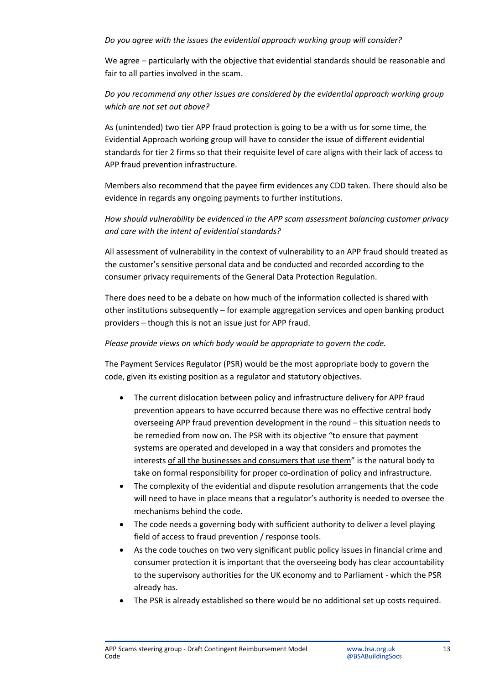#### *Do you agree with the issues the evidential approach working group will consider?*

We agree – particularly with the objective that evidential standards should be reasonable and fair to all parties involved in the scam.

## *Do you recommend any other issues are considered by the evidential approach working group which are not set out above?*

As (unintended) two tier APP fraud protection is going to be a with us for some time, the Evidential Approach working group will have to consider the issue of different evidential standards for tier 2 firms so that their requisite level of care aligns with their lack of access to APP fraud prevention infrastructure.

Members also recommend that the payee firm evidences any CDD taken. There should also be evidence in regards any ongoing payments to further institutions.

*How should vulnerability be evidenced in the APP scam assessment balancing customer privacy and care with the intent of evidential standards?*

All assessment of vulnerability in the context of vulnerability to an APP fraud should treated as the customer's sensitive personal data and be conducted and recorded according to the consumer privacy requirements of the General Data Protection Regulation.

There does need to be a debate on how much of the information collected is shared with other institutions subsequently – for example aggregation services and open banking product providers – though this is not an issue just for APP fraud.

#### *Please provide views on which body would be appropriate to govern the code.*

The Payment Services Regulator (PSR) would be the most appropriate body to govern the code, given its existing position as a regulator and statutory objectives.

- The current dislocation between policy and infrastructure delivery for APP fraud prevention appears to have occurred because there was no effective central body overseeing APP fraud prevention development in the round – this situation needs to be remedied from now on. The PSR with its objective "to ensure that payment systems are operated and developed in a way that considers and promotes the interests of all the businesses and consumers that use them" is the natural body to take on formal responsibility for proper co-ordination of policy and infrastructure.
- The complexity of the evidential and dispute resolution arrangements that the code will need to have in place means that a regulator's authority is needed to oversee the mechanisms behind the code.
- The code needs a governing body with sufficient authority to deliver a level playing field of access to fraud prevention / response tools.
- As the code touches on two very significant public policy issues in financial crime and consumer protection it is important that the overseeing body has clear accountability to the supervisory authorities for the UK economy and to Parliament - which the PSR already has.
- The PSR is already established so there would be no additional set up costs required.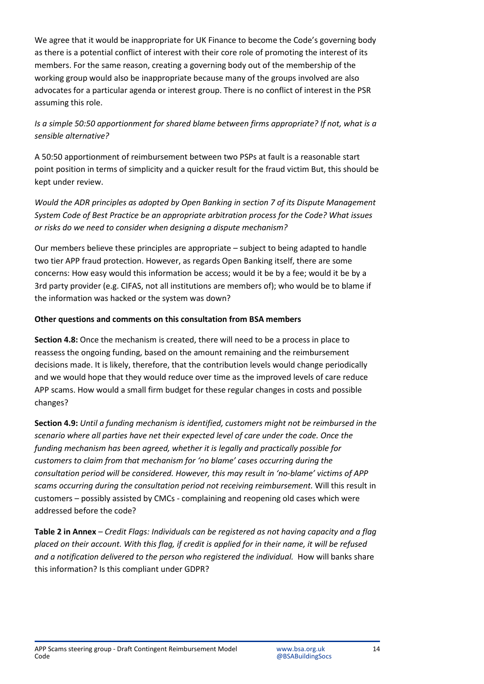We agree that it would be inappropriate for UK Finance to become the Code's governing body as there is a potential conflict of interest with their core role of promoting the interest of its members. For the same reason, creating a governing body out of the membership of the working group would also be inappropriate because many of the groups involved are also advocates for a particular agenda or interest group. There is no conflict of interest in the PSR assuming this role.

## *Is a simple 50:50 apportionment for shared blame between firms appropriate? If not, what is a sensible alternative?*

A 50:50 apportionment of reimbursement between two PSPs at fault is a reasonable start point position in terms of simplicity and a quicker result for the fraud victim But, this should be kept under review.

*Would the ADR principles as adopted by Open Banking in section 7 of its Dispute Management System Code of Best Practice be an appropriate arbitration process for the Code? What issues or risks do we need to consider when designing a dispute mechanism?*

Our members believe these principles are appropriate – subject to being adapted to handle two tier APP fraud protection. However, as regards Open Banking itself, there are some concerns: How easy would this information be access; would it be by a fee; would it be by a 3rd party provider (e.g. CIFAS, not all institutions are members of); who would be to blame if the information was hacked or the system was down?

#### **Other questions and comments on this consultation from BSA members**

**Section 4.8:** Once the mechanism is created, there will need to be a process in place to reassess the ongoing funding, based on the amount remaining and the reimbursement decisions made. It is likely, therefore, that the contribution levels would change periodically and we would hope that they would reduce over time as the improved levels of care reduce APP scams. How would a small firm budget for these regular changes in costs and possible changes?

**Section 4.9:** *Until a funding mechanism is identified, customers might not be reimbursed in the scenario where all parties have net their expected level of care under the code. Once the funding mechanism has been agreed, whether it is legally and practically possible for customers to claim from that mechanism for 'no blame' cases occurring during the consultation period will be considered. However, this may result in 'no-blame' victims of APP scams occurring during the consultation period not receiving reimbursement.* Will this result in customers – possibly assisted by CMCs - complaining and reopening old cases which were addressed before the code?

**Table 2 in Annex** *– Credit Flags: Individuals can be registered as not having capacity and a flag placed on their account. With this flag, if credit is applied for in their name, it will be refused and a notification delivered to the person who registered the individual.* How will banks share this information? Is this compliant under GDPR?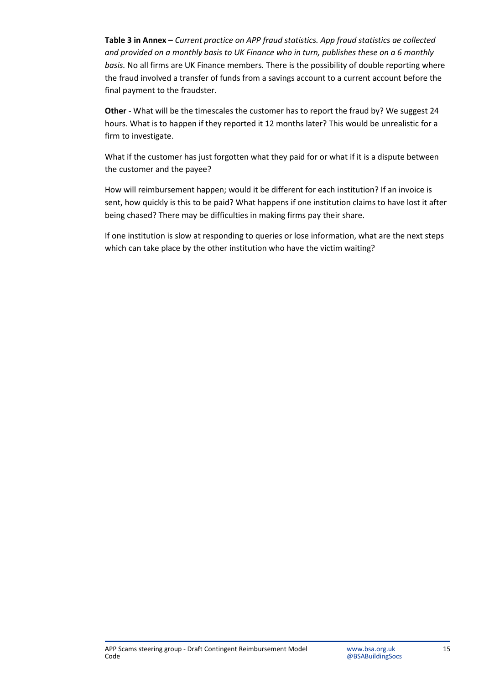**Table 3 in Annex –** *Current practice on APP fraud statistics. App fraud statistics ae collected and provided on a monthly basis to UK Finance who in turn, publishes these on a 6 monthly basis.* No all firms are UK Finance members. There is the possibility of double reporting where the fraud involved a transfer of funds from a savings account to a current account before the final payment to the fraudster.

**Other** - What will be the timescales the customer has to report the fraud by? We suggest 24 hours. What is to happen if they reported it 12 months later? This would be unrealistic for a firm to investigate.

What if the customer has just forgotten what they paid for or what if it is a dispute between the customer and the payee?

How will reimbursement happen; would it be different for each institution? If an invoice is sent, how quickly is this to be paid? What happens if one institution claims to have lost it after being chased? There may be difficulties in making firms pay their share.

If one institution is slow at responding to queries or lose information, what are the next steps which can take place by the other institution who have the victim waiting?